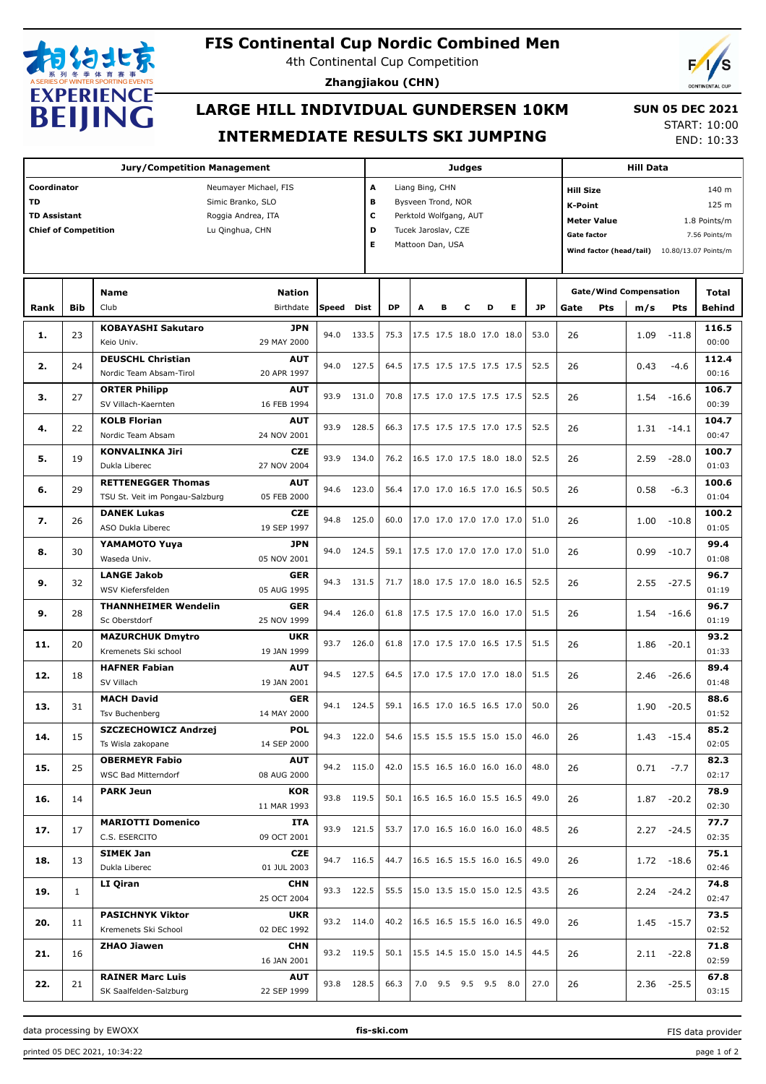

## **FIS Continental Cup Nordic Combined Men**

4th Continental Cup Competition

**Zhangjiakou (CHN)**



## **LARGE HILL INDIVIDUAL GUNDERSEN 10KM INTERMEDIATE RESULTS SKI JUMPING**

 **SUN 05 DEC 2021** START: 10:00

END: 10:33

|                                                                                                                                                                       |              | <b>Jury/Competition Management</b>                           |                            |            |       |           |                                                                                                                                     |   | <b>Judges</b> |                                 | <b>Hill Data</b> |           |      |            |                                                                                                                                                                            |               |                 |  |
|-----------------------------------------------------------------------------------------------------------------------------------------------------------------------|--------------|--------------------------------------------------------------|----------------------------|------------|-------|-----------|-------------------------------------------------------------------------------------------------------------------------------------|---|---------------|---------------------------------|------------------|-----------|------|------------|----------------------------------------------------------------------------------------------------------------------------------------------------------------------------|---------------|-----------------|--|
| Coordinator<br>Neumayer Michael, FIS<br><b>TD</b><br>Simic Branko, SLO<br><b>TD Assistant</b><br>Roggia Andrea, ITA<br><b>Chief of Competition</b><br>Lu Qinghua, CHN |              |                                                              |                            |            |       |           | A<br>Liang Bing, CHN<br>B<br>Bysveen Trond, NOR<br>C<br>Perktold Wolfgang, AUT<br>D<br>Tucek Jaroslav, CZE<br>Е<br>Mattoon Dan, USA |   |               |                                 |                  |           |      |            | <b>Hill Size</b><br>140 m<br>125 m<br>K-Point<br><b>Meter Value</b><br>1.8 Points/m<br><b>Gate factor</b><br>7.56 Points/m<br>Wind factor (head/tail) 10.80/13.07 Points/m |               |                 |  |
|                                                                                                                                                                       |              |                                                              |                            |            |       |           |                                                                                                                                     |   |               |                                 |                  |           |      |            |                                                                                                                                                                            |               |                 |  |
| Rank                                                                                                                                                                  | Bib          | <b>Name</b><br>Club                                          | <b>Nation</b><br>Birthdate | Speed      | Dist  | <b>DP</b> | A                                                                                                                                   | в | c             | D                               | Е                | <b>JP</b> | Gate | <b>Pts</b> | <b>Gate/Wind Compensation</b><br>m/s                                                                                                                                       | Pts           | Total<br>Behind |  |
| 1.                                                                                                                                                                    | 23           | <b>KOBAYASHI Sakutaro</b><br>Keio Univ.                      | <b>JPN</b><br>29 MAY 2000  | 94.0       | 133.5 | 75.3      |                                                                                                                                     |   |               | 17.5 17.5 18.0 17.0 18.0        |                  | 53.0      | 26   |            | 1.09                                                                                                                                                                       | $-11.8$       | 116.5<br>00:00  |  |
| 2.                                                                                                                                                                    | 24           | <b>DEUSCHL Christian</b><br>Nordic Team Absam-Tirol          | AUT<br>20 APR 1997         | 94.0       | 127.5 | 64.5      |                                                                                                                                     |   |               | 17.5 17.5 17.5 17.5 17.5        |                  | 52.5      | 26   |            | 0.43                                                                                                                                                                       | $-4.6$        | 112.4<br>00:16  |  |
| з.                                                                                                                                                                    | 27           | <b>ORTER Philipp</b><br>SV Villach-Kaernten                  | AUT<br>16 FEB 1994         | 93.9       | 131.0 | 70.8      |                                                                                                                                     |   |               | 17.5 17.0 17.5 17.5 17.5        |                  | 52.5      | 26   |            | 1.54                                                                                                                                                                       | $-16.6$       | 106.7<br>00:39  |  |
| 4.                                                                                                                                                                    | 22           | <b>KOLB Florian</b><br>Nordic Team Absam                     | <b>AUT</b><br>24 NOV 2001  | 93.9       | 128.5 | 66.3      |                                                                                                                                     |   |               | 17.5 17.5 17.5 17.0 17.5        |                  | 52.5      | 26   |            | 1.31                                                                                                                                                                       | $-14.1$       | 104.7<br>00:47  |  |
| 5.                                                                                                                                                                    | 19           | <b>KONVALINKA Jiri</b><br>Dukla Liberec                      | <b>CZE</b><br>27 NOV 2004  | 93.9       | 134.0 | 76.2      |                                                                                                                                     |   |               | 16.5 17.0 17.5 18.0 18.0        |                  | 52.5      | 26   |            | 2.59                                                                                                                                                                       | $-28.0$       | 100.7<br>01:03  |  |
| 6.                                                                                                                                                                    | 29           | <b>RETTENEGGER Thomas</b><br>TSU St. Veit im Pongau-Salzburg | <b>AUT</b><br>05 FEB 2000  | 94.6       | 123.0 | 56.4      |                                                                                                                                     |   |               | 17.0 17.0 16.5 17.0 16.5        |                  | 50.5      | 26   |            | 0.58                                                                                                                                                                       | $-6.3$        | 100.6<br>01:04  |  |
| 7.                                                                                                                                                                    | 26           | <b>DANEK Lukas</b><br>ASO Dukla Liberec                      | <b>CZE</b><br>19 SEP 1997  | 94.8       | 125.0 | 60.0      |                                                                                                                                     |   |               | 17.0 17.0 17.0 17.0 17.0        |                  | 51.0      | 26   |            | 1.00                                                                                                                                                                       | $-10.8$       | 100.2<br>01:05  |  |
| 8.                                                                                                                                                                    | 30           | YAMAMOTO Yuya<br>Waseda Univ.                                | <b>JPN</b><br>05 NOV 2001  | 94.0       | 124.5 | 59.1      |                                                                                                                                     |   |               | 17.5 17.0 17.0 17.0 17.0        |                  | 51.0      | 26   |            | 0.99                                                                                                                                                                       | $-10.7$       | 99.4<br>01:08   |  |
| 9.                                                                                                                                                                    | 32           | <b>LANGE Jakob</b><br>WSV Kiefersfelden                      | <b>GER</b><br>05 AUG 1995  | 94.3       | 131.5 | 71.7      |                                                                                                                                     |   |               | 18.0 17.5 17.0 18.0 16.5        |                  | 52.5      | 26   |            | 2.55                                                                                                                                                                       | $-27.5$       | 96.7<br>01:19   |  |
| 9.                                                                                                                                                                    | 28           | <b>THANNHEIMER Wendelin</b><br>Sc Oberstdorf                 | GER<br>25 NOV 1999         | 94.4       | 126.0 | 61.8      |                                                                                                                                     |   |               | 17.5 17.5 17.0 16.0 17.0        |                  | 51.5      | 26   |            | 1.54                                                                                                                                                                       | $-16.6$       | 96.7<br>01:19   |  |
| 11.                                                                                                                                                                   | 20           | <b>MAZURCHUK Dmytro</b><br>Kremenets Ski school              | <b>UKR</b><br>19 JAN 1999  | 93.7       | 126.0 | 61.8      |                                                                                                                                     |   |               | 17.0 17.5 17.0 16.5 17.5        |                  | 51.5      | 26   |            | 1.86                                                                                                                                                                       | $-20.1$       | 93.2<br>01:33   |  |
| 12.                                                                                                                                                                   | 18           | <b>HAFNER Fabian</b><br>SV Villach                           | <b>AUT</b><br>19 JAN 2001  | 94.5       | 127.5 | 64.5      |                                                                                                                                     |   |               | 17.0 17.5 17.0 17.0 18.0        |                  | 51.5      | 26   |            | 2.46                                                                                                                                                                       | $-26.6$       | 89.4<br>01:48   |  |
| 13.                                                                                                                                                                   | 31           | <b>MACH David</b><br>Tsv Buchenberg                          | <b>GER</b><br>14 MAY 2000  | 94.1 124.5 |       | 59.1      |                                                                                                                                     |   |               | 16.5 17.0 16.5 16.5 17.0        |                  | 50.0      | 26   |            | 1.90                                                                                                                                                                       | $-20.5$       | 88.6<br>01:52   |  |
| 14.                                                                                                                                                                   | 15           | SZCZECHOWICZ Andrzej<br>Ts Wisla zakopane                    | <b>POL</b><br>14 SEP 2000  | 94.3 122.0 |       | 54.6      |                                                                                                                                     |   |               | 15.5 15.5 15.5 15.0 15.0        |                  | 46.0      | 26   |            |                                                                                                                                                                            | 1.43 -15.4    | 85.2<br>02:05   |  |
| 15.                                                                                                                                                                   | 25           | <b>OBERMEYR Fabio</b><br>WSC Bad Mitterndorf                 | <b>AUT</b><br>08 AUG 2000  | 94.2 115.0 |       | 42.0      |                                                                                                                                     |   |               | $15.5$ 16.5 16.0 16.0 16.0      |                  | 48.0      | 26   |            | 0.71                                                                                                                                                                       | $-7.7$        | 82.3<br>02:17   |  |
| 16.                                                                                                                                                                   | 14           | <b>PARK Jeun</b>                                             | KOR<br>11 MAR 1993         | 93.8 119.5 |       |           |                                                                                                                                     |   |               | 50.1   16.5 16.5 16.0 15.5 16.5 |                  | 49.0      | 26   |            |                                                                                                                                                                            | $1.87 - 20.2$ | 78.9<br>02:30   |  |
| 17.                                                                                                                                                                   | 17           | <b>MARIOTTI Domenico</b><br>C.S. ESERCITO                    | ITA<br>09 OCT 2001         | 93.9 121.5 |       | 53.7      |                                                                                                                                     |   |               | 17.0 16.5 16.0 16.0 16.0        |                  | 48.5      | 26   |            |                                                                                                                                                                            | $2.27 - 24.5$ | 77.7<br>02:35   |  |
| 18.                                                                                                                                                                   | 13           | <b>SIMEK Jan</b><br>Dukla Liberec                            | <b>CZE</b><br>01 JUL 2003  | 94.7 116.5 |       | 44.7      |                                                                                                                                     |   |               | 16.5 16.5 15.5 16.0 16.5        |                  | 49.0      | 26   |            |                                                                                                                                                                            | $1.72 - 18.6$ | 75.1<br>02:46   |  |
| 19.                                                                                                                                                                   | $\mathbf{1}$ | LI Qiran                                                     | <b>CHN</b><br>25 OCT 2004  | 93.3 122.5 |       | 55.5      |                                                                                                                                     |   |               | 15.0 13.5 15.0 15.0 12.5        |                  | 43.5      | 26   |            |                                                                                                                                                                            | $2.24 - 24.2$ | 74.8<br>02:47   |  |
| 20.                                                                                                                                                                   | 11           | <b>PASICHNYK Viktor</b><br>Kremenets Ski School              | <b>UKR</b><br>02 DEC 1992  | 93.2 114.0 |       |           |                                                                                                                                     |   |               | 40.2   16.5 16.5 15.5 16.0 16.5 |                  | 49.0      | 26   |            |                                                                                                                                                                            | $1.45 - 15.7$ | 73.5<br>02:52   |  |
| 21.                                                                                                                                                                   | 16           | ZHAO Jiawen                                                  | <b>CHN</b><br>16 JAN 2001  | 93.2 119.5 |       | 50.1      |                                                                                                                                     |   |               | 15.5 14.5 15.0 15.0 14.5        |                  | 44.5      | 26   |            |                                                                                                                                                                            | $2.11 - 22.8$ | 71.8<br>02:59   |  |
| 22.                                                                                                                                                                   | 21           | <b>RAINER Marc Luis</b><br>SK Saalfelden-Salzburg            | <b>AUT</b><br>22 SEP 1999  | 93.8 128.5 |       | 66.3      |                                                                                                                                     |   |               | 7.0 9.5 9.5 9.5 8.0             |                  | 27.0      | 26   |            |                                                                                                                                                                            | $2.36 - 25.5$ | 67.8<br>03:15   |  |

data processing by EWOXX **fis-ski.com**